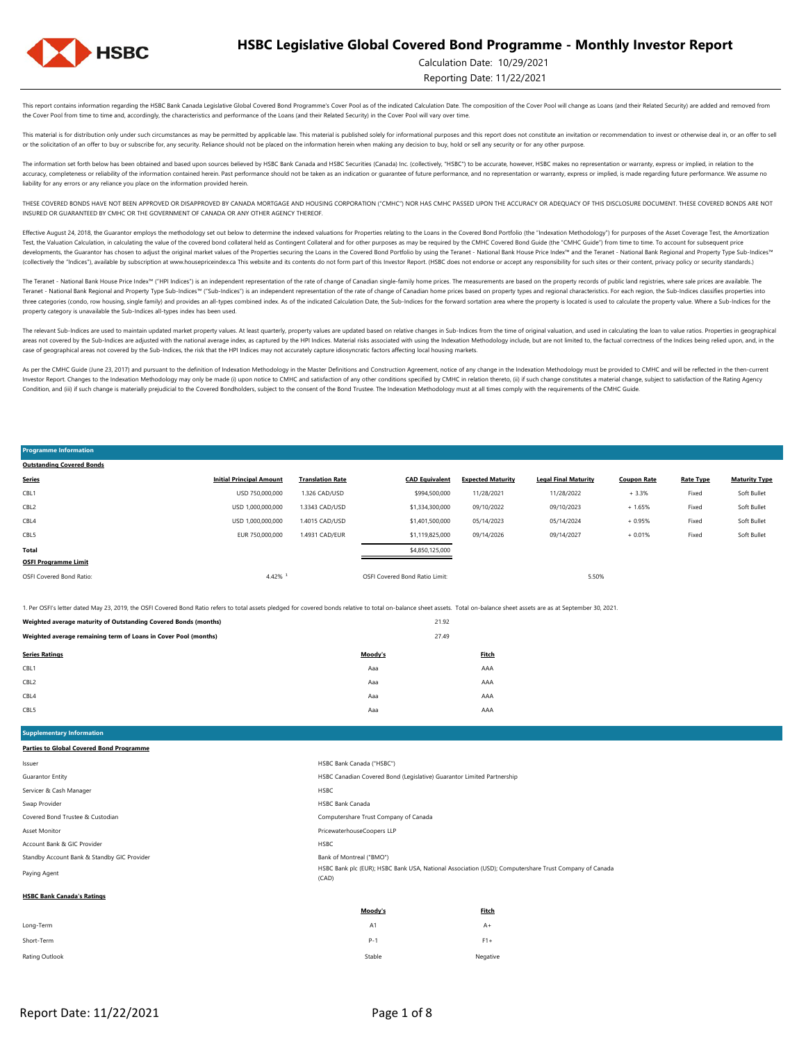

Calculation Date: 10/29/2021

Reporting Date: 11/22/2021

This report contains information regarding the HSBC Bank Canada Legislative Global Covered Bond Programme's Cover Pool as of the indicated Calculation Date. The composition of the Cover Pool will change as Loans (and their the Cover Pool from time to time and, accordingly, the characteristics and performance of the Loans (and their Related Security) in the Cover Pool will vary over time.

This material is for distribution only under such circumstances as may be permitted by applicable law. This material is published solely for informational purposes and this report does not constitute an invitation or recom or the solicitation of an offer to buy or subscribe for, any security. Reliance should not be placed on the information herein when making any decision to buy, hold or sell any security or for any other purpose.

The information set forth below has been obtained and based upon sources believed by HSBC Bank Canada and HSBC Securities (Canada) Inc. (collectively, "HSBC") to be accurate, however. HSBC makes no representation or warran accuracy, completeness or reliability of the information contained herein. Past performance should not be taken as an indication or guarantee of future performance, and no representation or warranty, express or implied, is liability for any errors or any reliance you place on the information provided herein.

THESE COVERED BONDS HAVE NOT BEEN APPROVED OR DISAPPROVED BY CANADA MORTGAGE AND HOUSING CORPORATION ("CMHC") NOR HAS CMHC PASSED UPON THE ACCURACY OR ADEQUACY OF THIS DISCLOSURE DOCUMENT. THESE COVERED BONDS ARE NOT INSURED OR GUARANTEED BY CMHC OR THE GOVERNMENT OF CANADA OR ANY OTHER AGENCY THEREOF.

Effective August 24, 2018, the Guarantor employs the methodology set out below to determine the indexed valuations for Properties relating to the Loans in the Covered Bond Portfolio (the "Indexation Methodology") for purpo Test, the Valuation Calculation, in calculating the value of the covered bond collateral held as Contingent Collateral and for other purposes as may be required by the CMHC Covered Bond Guide (the "CMHC Guide") from time t developments, the Guarantor has chosen to adjust the original market values of the Properties securing the Loans in the Covered Bond Portfolio by using the Teranet - National Bank House Price Index<sup>nu</sup> and the Teranet - Na (collectively the "Indices"), available by subscription at www.housepriceindex.ca This website and its contents do not form part of this Investor Report. (HSBC does not endorse or accept any responsibility for such sites o

The Teranet - National Bank House Price Index<sup>na</sup> ("HPI Indices") is an independent representation of the rate of change of Canadian single-family home prices. The measurements are based on the property records of public l Teranet - National Bank Regional and Property Type Sub-Indices™ ("Sub-Indices") is an independent representation of the rate of change of Canadian home prices based on property types and regional characteristics. For each three categories (condo, row housing, single family) and provides an all-types combined index. As of the indicated Calculation Date, the Sub-Indices for the forward sortation area where the property is located is used to c property category is unavailable the Sub-Indices all-types index has been used.

The relevant Sub-Indices are used to maintain updated market property values. At least quarterly, property values are updated based on relative changes in Sub-Indices from the time of original valuation, and used in calcul areas not covered by the Sub-Indices are adjusted with the national average index, as captured by the HPI Indices. Material risks associated with using the Indivation Methodology include, but are not limited to, the factua case of geographical areas not covered by the Sub-Indices, the risk that the HPI Indices may not accurately capture idiosyncratic factors affecting local housing markets.

As per the CMHC Guide (June 23, 2017) and pursuant to the definition of Indexation Methodology in the Master Definitions and Construction Agreement, notice of any change in the Indexation Methodology must be provided to CM Investor Report. Changes to the Indexation Methodology may only be made (i) upon notice to CMHC and satisfaction of any other conditions specified by CMHC in relation thereto, (ii) if such change constitutes a material cha Condition, and (iii) if such change is materially prejudicial to the Covered Bondholders, subject to the consent of the Bond Trustee. The Indexation Methodology must at all times comply with the requirements of the CMHC Gu

**Programme Information**

| <b>Outstanding Covered Bonds</b> |                                 |                         |                                |                          |                             |                    |                  |                      |
|----------------------------------|---------------------------------|-------------------------|--------------------------------|--------------------------|-----------------------------|--------------------|------------------|----------------------|
| <b>Series</b>                    | <b>Initial Principal Amount</b> | <b>Translation Rate</b> | <b>CAD Equivalent</b>          | <b>Expected Maturity</b> | <b>Legal Final Maturity</b> | <b>Coupon Rate</b> | <b>Rate Type</b> | <b>Maturity Type</b> |
| CBL1                             | USD 750,000,000                 | 1.326 CAD/USD           | \$994,500,000                  | 11/28/2021               | 11/28/2022                  | $+3.3%$            | Fixed            | Soft Bullet          |
| CBL <sub>2</sub>                 | USD 1.000.000.000               | 1.3343 CAD/USD          | \$1,334,300,000                | 09/10/2022               | 09/10/2023                  | $+1.65%$           | Fixed            | Soft Bullet          |
| CBL4                             | USD 1,000,000,000               | 1.4015 CAD/USD          | \$1,401,500,000                | 05/14/2023               | 05/14/2024                  | $+0.95%$           | Fixed            | Soft Bullet          |
| CBL5                             | EUR 750,000,000                 | 1.4931 CAD/EUR          | \$1,119,825,000                | 09/14/2026               | 09/14/2027                  | $+0.01%$           | Fixed            | Soft Bullet          |
| Total                            |                                 |                         | \$4,850,125,000                |                          |                             |                    |                  |                      |
| <b>OSFI Programme Limit</b>      |                                 |                         |                                |                          |                             |                    |                  |                      |
| OSFI Covered Bond Ratio:         | 4.42%                           |                         | OSFI Covered Bond Ratio Limit: |                          | 5.50%                       |                    |                  |                      |

1. Per OSFI's letter dated May 23, 2019, the OSFI Covered Bond Ratio refers to total assets pledged for covered bonds relative to total on-balance sheet assets. Total on-balance sheet assets are as at September 30, 2021.

| Weighted average maturity of Outstanding Covered Bonds (months) |         | 21.92        |
|-----------------------------------------------------------------|---------|--------------|
| Weighted average remaining term of Loans in Cover Pool (months) |         |              |
| <b>Series Ratings</b>                                           | Moodv's | <b>Fitch</b> |
| CBL1                                                            | Aaa     | AAA          |
| CBL <sub>2</sub>                                                | Aaa     | AAA          |
| CBL4                                                            | Aaa     | AAA          |
| CBL5                                                            | Aaa     | AAA          |

**Intary Information Parties to Global Covered Bond Programme**

| Issuer                                      | HSBC Bank Canada ("HSBC")                                                                                      |
|---------------------------------------------|----------------------------------------------------------------------------------------------------------------|
| Guarantor Entity                            | HSBC Canadian Covered Bond (Legislative) Guarantor Limited Partnership                                         |
| Servicer & Cash Manager                     | <b>HSBC</b>                                                                                                    |
| Swap Provider                               | <b>HSBC Bank Canada</b>                                                                                        |
| Covered Bond Trustee & Custodian            | Computershare Trust Company of Canada                                                                          |
| Asset Monitor                               | PricewaterhouseCoopers LLP                                                                                     |
| Account Bank & GIC Provider                 | <b>HSBC</b>                                                                                                    |
| Standby Account Bank & Standby GIC Provider | Bank of Montreal ("BMO")                                                                                       |
| Paying Agent                                | HSBC Bank plc (EUR); HSBC Bank USA, National Association (USD); Computershare Trust Company of Canada<br>(CAD) |
| <b>HSBC Bank Canada's Ratings</b>           |                                                                                                                |

Rating Outlook Negative Negative Negative Negative Negative Stable Stable Stable Negative Negative Negative Negative Short-Term P-1 F1+ **Moody's Fitch** Long-Term A1 A+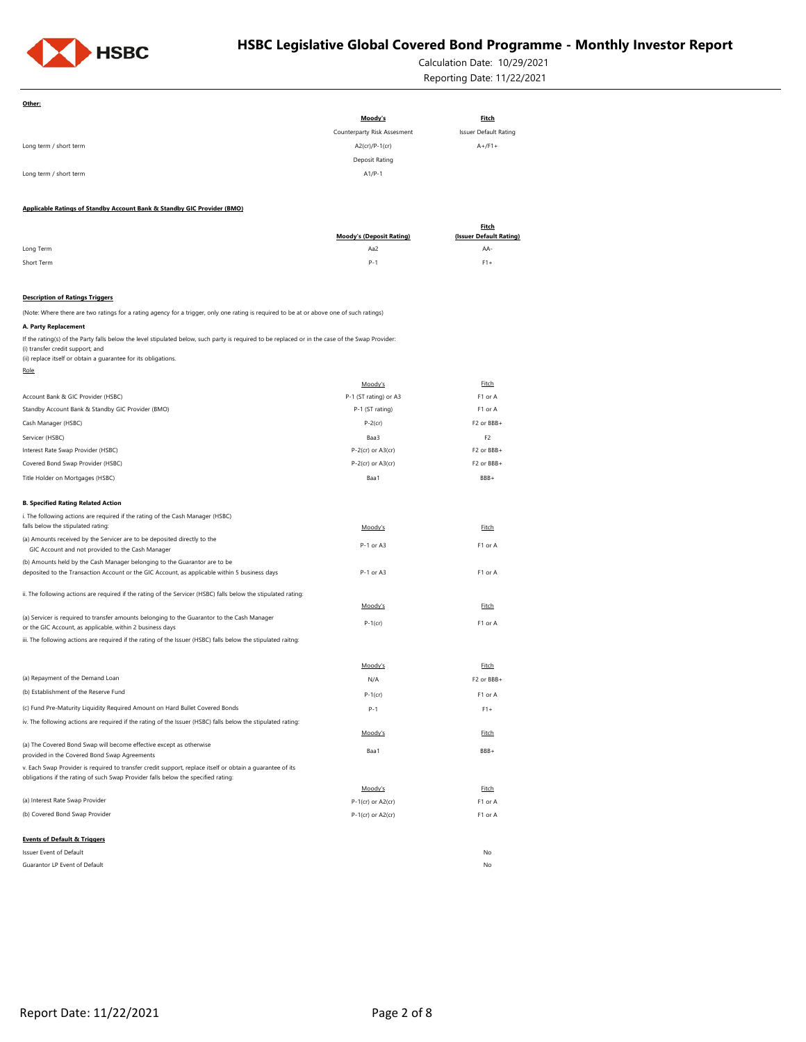

Calculation Date: 10/29/2021 Reporting Date: 11/22/2021

| Other:                                                                                                                                                                                                                                                 |                                           |                                |
|--------------------------------------------------------------------------------------------------------------------------------------------------------------------------------------------------------------------------------------------------------|-------------------------------------------|--------------------------------|
|                                                                                                                                                                                                                                                        | Moody's                                   | <b>Fitch</b>                   |
|                                                                                                                                                                                                                                                        | Counterparty Risk Assesment               | <b>Issuer Default Rating</b>   |
| Long term / short term                                                                                                                                                                                                                                 | A2(cr)/P-1(cr)                            | $A+$ /F1+                      |
|                                                                                                                                                                                                                                                        | Deposit Rating                            |                                |
| Long term / short term                                                                                                                                                                                                                                 | $A1/P-1$                                  |                                |
|                                                                                                                                                                                                                                                        |                                           |                                |
| Applicable Ratings of Standby Account Bank & Standby GIC Provider (BMO)                                                                                                                                                                                |                                           |                                |
|                                                                                                                                                                                                                                                        |                                           | <b>Fitch</b>                   |
| Long Term                                                                                                                                                                                                                                              | <b>Moody's (Deposit Rating)</b><br>Aa2    | (Issuer Default Rating)<br>AA- |
| Short Term                                                                                                                                                                                                                                             | $P - 1$                                   | $F1+$                          |
|                                                                                                                                                                                                                                                        |                                           |                                |
| <b>Description of Ratings Triggers</b>                                                                                                                                                                                                                 |                                           |                                |
| (Note: Where there are two ratings for a rating agency for a trigger, only one rating is required to be at or above one of such ratings)                                                                                                               |                                           |                                |
| A. Party Replacement                                                                                                                                                                                                                                   |                                           |                                |
| If the rating(s) of the Party falls below the level stipulated below, such party is required to be replaced or in the case of the Swap Provider:<br>(i) transfer credit support; and<br>(ii) replace itself or obtain a guarantee for its obligations. |                                           |                                |
| Role                                                                                                                                                                                                                                                   |                                           |                                |
|                                                                                                                                                                                                                                                        | Moody's                                   | Fitch                          |
| Account Bank & GIC Provider (HSBC)                                                                                                                                                                                                                     | P-1 (ST rating) or A3                     | F1 or A                        |
| Standby Account Bank & Standby GIC Provider (BMO)                                                                                                                                                                                                      | P-1 (ST rating)                           | F1 or A                        |
| Cash Manager (HSBC)                                                                                                                                                                                                                                    | $P-2$ (cr)                                | F2 or BBB+                     |
| Servicer (HSBC)                                                                                                                                                                                                                                        | Baa3                                      | F <sub>2</sub>                 |
| Interest Rate Swap Provider (HSBC)                                                                                                                                                                                                                     | $P-2$ (cr) or $A3$ (cr)                   | F2 or BBB+                     |
| Covered Bond Swap Provider (HSBC)                                                                                                                                                                                                                      | $P-2$ (cr) or $A3$ (cr)                   | F2 or BBB+                     |
| Title Holder on Mortgages (HSBC)                                                                                                                                                                                                                       | Baa1                                      | BBB+                           |
| <b>B. Specified Rating Related Action</b>                                                                                                                                                                                                              |                                           |                                |
| i. The following actions are required if the rating of the Cash Manager (HSBC)                                                                                                                                                                         |                                           |                                |
| falls below the stipulated rating:                                                                                                                                                                                                                     | Moody's                                   | <b>Fitch</b>                   |
| (a) Amounts received by the Servicer are to be deposited directly to the                                                                                                                                                                               | P-1 or A3                                 | F1 or A                        |
| GIC Account and not provided to the Cash Manager                                                                                                                                                                                                       |                                           |                                |
| (b) Amounts held by the Cash Manager belonging to the Guarantor are to be<br>deposited to the Transaction Account or the GIC Account, as applicable within 5 business days                                                                             | P-1 or A3                                 | F1 or A                        |
|                                                                                                                                                                                                                                                        |                                           |                                |
| ii. The following actions are required if the rating of the Servicer (HSBC) falls below the stipulated rating:                                                                                                                                         | Moody's                                   | Fitch                          |
| (a) Servicer is required to transfer amounts belonging to the Guarantor to the Cash Manager                                                                                                                                                            |                                           |                                |
| or the GIC Account, as applicable, within 2 business days                                                                                                                                                                                              | $P-1$ (cr)                                | F1 or A                        |
| iii. The following actions are required if the rating of the Issuer (HSBC) falls below the stipulated raitng:                                                                                                                                          |                                           |                                |
|                                                                                                                                                                                                                                                        | Moody's                                   | Fitch                          |
| (a) Repayment of the Demand Loan                                                                                                                                                                                                                       | N/A                                       | F2 or BBB+                     |
| (b) Establishment of the Reserve Fund                                                                                                                                                                                                                  | $P-1$ (cr)                                | F1 or A                        |
| (c) Fund Pre-Maturity Liquidity Required Amount on Hard Bullet Covered Bonds                                                                                                                                                                           | P-1                                       | $F1+$                          |
| iv. The following actions are required if the rating of the Issuer (HSBC) falls below the stipulated rating:                                                                                                                                           |                                           |                                |
|                                                                                                                                                                                                                                                        | Moody's                                   | Fitch                          |
| (a) The Covered Bond Swap will become effective except as otherwise<br>provided in the Covered Bond Swap Agreements                                                                                                                                    | Baa1                                      | BBB+                           |
| v. Each Swap Provider is required to transfer credit support, replace itself or obtain a guarantee of its                                                                                                                                              |                                           |                                |
| obligations if the rating of such Swap Provider falls below the specified rating:                                                                                                                                                                      |                                           |                                |
| (a) Interest Rate Swap Provider                                                                                                                                                                                                                        | Moody's                                   | Fitch                          |
| (b) Covered Bond Swap Provider                                                                                                                                                                                                                         | P-1(cr) or A2(cr)<br>$P-1$ (cr) or A2(cr) | F1 or A                        |
|                                                                                                                                                                                                                                                        |                                           | F1 or A                        |
| <b>Events of Default &amp; Triggers</b>                                                                                                                                                                                                                |                                           |                                |
| Issuer Event of Default                                                                                                                                                                                                                                |                                           | No                             |
| Guarantor LP Event of Default                                                                                                                                                                                                                          |                                           | No                             |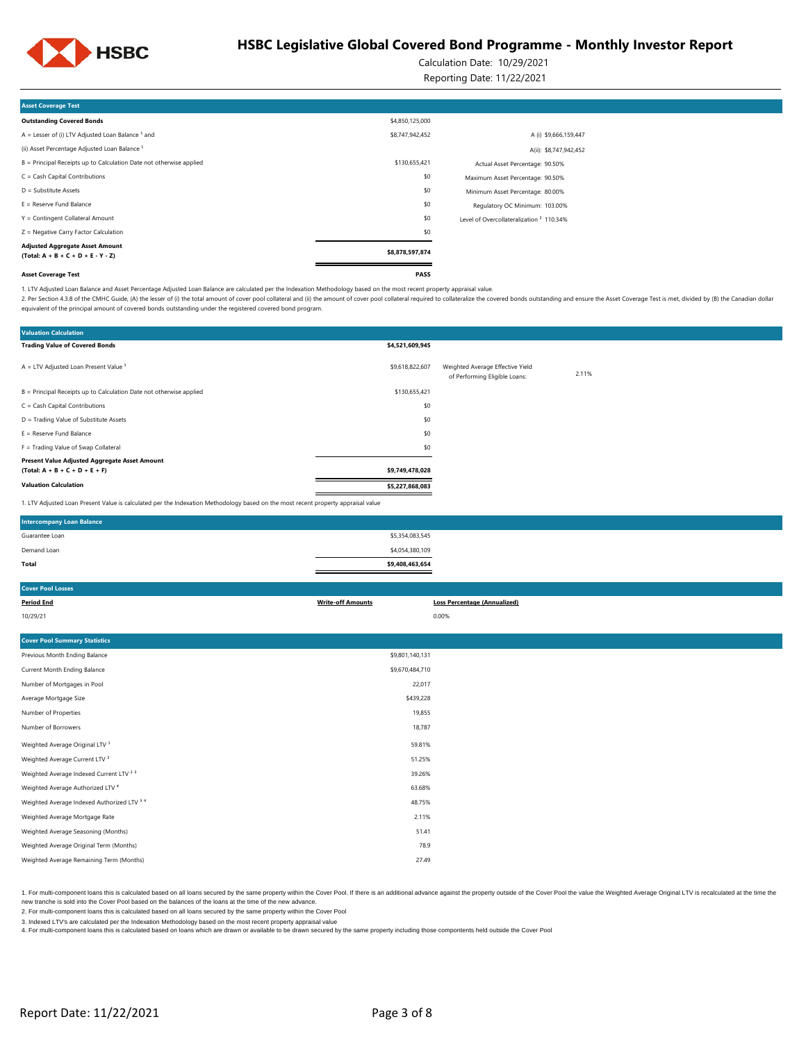

Calculation Date: 10/29/2021

Reporting Date: 11/22/2021

| <b>Asset Coverage Test</b>                                                     |                 |                                                     |  |
|--------------------------------------------------------------------------------|-----------------|-----------------------------------------------------|--|
| <b>Outstanding Covered Bonds</b>                                               | \$4,850,125,000 |                                                     |  |
| A = Lesser of (i) LTV Adjusted Loan Balance $1$ and                            | \$8,747,942,452 | A (i) \$9,666,159,447                               |  |
| (ii) Asset Percentage Adjusted Loan Balance <sup>1</sup>                       |                 | A(ii): \$8,747,942,452                              |  |
| B = Principal Receipts up to Calculation Date not otherwise applied            | \$130,655,421   | Actual Asset Percentage: 90.50%                     |  |
| $C = Cash Capital Contributions$                                               | \$0             | Maximum Asset Percentage: 90.50%                    |  |
| $D =$ Substitute Assets                                                        | \$0             | Minimum Asset Percentage: 80.00%                    |  |
| $E =$ Reserve Fund Balance                                                     | \$0             | Regulatory OC Minimum: 103.00%                      |  |
| Y = Contingent Collateral Amount                                               | \$0             | Level of Overcollateralization <sup>2</sup> 110.34% |  |
| Z = Negative Carry Factor Calculation                                          | \$0             |                                                     |  |
| <b>Adjusted Aggregate Asset Amount</b><br>$(Total: A + B + C + D + E - Y - Z)$ | \$8,878,597,874 |                                                     |  |
| <b>Asset Coverage Test</b>                                                     | PASS            |                                                     |  |

1. LTV Adjusted Loan Balance and Asset Percentage Adjusted Loan Balance are calculated per the Indexation Methodology based on the most recent property appraisal value.

2. Per Section 4.3.8 of the CMHC Guide, (A) the lesser of (i) the total amount of cover pool collateral and (ii) the amount of cover pool collateral required to collateral required to collateral required to collateralize t equivalent of the principal amount of covered bonds outstanding under the registered covered bond program.

| <b>Valuation Calculation</b>                                                                                                      |                 |                                                                   |       |
|-----------------------------------------------------------------------------------------------------------------------------------|-----------------|-------------------------------------------------------------------|-------|
| <b>Trading Value of Covered Bonds</b>                                                                                             | \$4,521,609,945 |                                                                   |       |
| $A = LTV$ Adjusted Loan Present Value $1$                                                                                         | \$9,618,822,607 | Weighted Average Effective Yield<br>of Performing Eligible Loans: | 2.11% |
| B = Principal Receipts up to Calculation Date not otherwise applied                                                               | \$130,655,421   |                                                                   |       |
| $C = Cash Capital Contributions$                                                                                                  | \$0             |                                                                   |       |
| D = Trading Value of Substitute Assets                                                                                            | \$0             |                                                                   |       |
| $E =$ Reserve Fund Balance                                                                                                        | \$0             |                                                                   |       |
| F = Trading Value of Swap Collateral                                                                                              | \$0             |                                                                   |       |
| Present Value Adjusted Aggregate Asset Amount                                                                                     |                 |                                                                   |       |
| $(Total: A + B + C + D + E + F)$                                                                                                  | \$9,749,478,028 |                                                                   |       |
| <b>Valuation Calculation</b>                                                                                                      | \$5,227,868,083 |                                                                   |       |
| 1. LTV Adjusted Loan Present Value is calculated per the Indexation Methodology based on the most recent property appraisal value |                 |                                                                   |       |

| <b>Intercompany Loan Balance</b> |                 |  |
|----------------------------------|-----------------|--|
| Guarantee Loan                   | \$5,354,083,545 |  |
| Demand Loan                      | \$4,054,380,109 |  |
| Total                            | \$9,408,463,654 |  |
|                                  |                 |  |

| <b>Cover Pool Losses</b>                           |                          |                                     |
|----------------------------------------------------|--------------------------|-------------------------------------|
| <b>Period End</b>                                  | <b>Write-off Amounts</b> | <b>Loss Percentage (Annualized)</b> |
| 10/29/21                                           |                          | 0.00%                               |
|                                                    |                          |                                     |
| <b>Cover Pool Summary Statistics</b>               |                          |                                     |
| Previous Month Ending Balance                      | \$9,801,140,131          |                                     |
| Current Month Ending Balance                       | \$9,670,484,710          |                                     |
| Number of Mortgages in Pool                        | 22,017                   |                                     |
| Average Mortgage Size                              | \$439,228                |                                     |
| Number of Properties                               | 19,855                   |                                     |
| Number of Borrowers                                | 18,787                   |                                     |
| Weighted Average Original LTV <sup>1</sup>         | 59.81%                   |                                     |
| Weighted Average Current LTV <sup>2</sup>          | 51.25%                   |                                     |
| Weighted Average Indexed Current LTV <sup>23</sup> | 39.26%                   |                                     |
| Weighted Average Authorized LTV 4                  | 63.68%                   |                                     |
| Weighted Average Indexed Authorized LTV 3 4        | 48.75%                   |                                     |
| Weighted Average Mortgage Rate                     | 2.11%                    |                                     |
| Weighted Average Seasoning (Months)                | 51.41                    |                                     |
| Weighted Average Original Term (Months)            | 78.9                     |                                     |
| Weighted Average Remaining Term (Months)           | 27.49                    |                                     |
|                                                    |                          |                                     |

1. For multi-component loans this is calculated based on all loans secured by the same property within the Cover Pool. If there is an additional advance against the property outside of the Cover Pool. If we leave the Ume t new tranche is sold into the Cover Pool based on the balances of the loans at the time of the new advance.

2. For multi-component loans this is calculated based on all loans secured by the same property within the Cover Pool

3. Indexed LTV's are calculated per the Indexation Methodology based on the most recent property appraisal value

4. For multi-component loans this is calculated based on loans which are drawn or available to be drawn secured by the same property including those compontents held outside the Cover Pool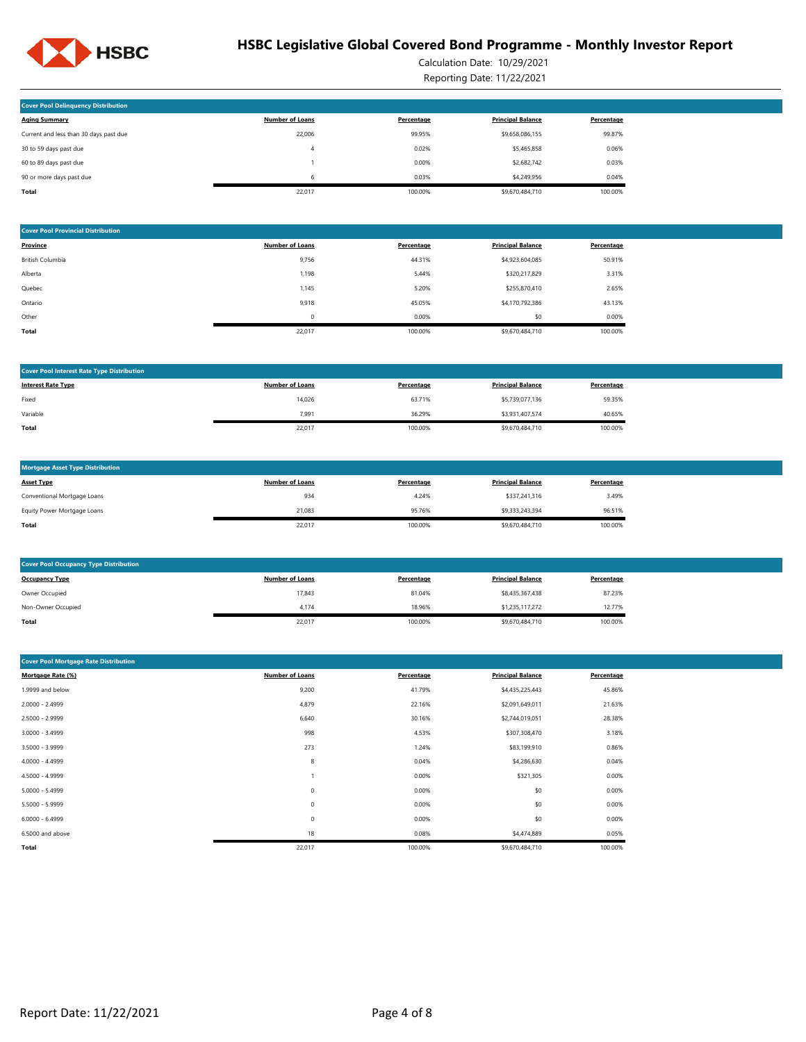

Calculation Date: 10/29/2021 Reporting Date: 11/22/2021

| <b>Cover Pool Delinquency Distribution</b> |                        |            |                          |            |
|--------------------------------------------|------------------------|------------|--------------------------|------------|
| <b>Aging Summary</b>                       | <b>Number of Loans</b> | Percentage | <b>Principal Balance</b> | Percentage |
| Current and less than 30 days past due     | 22,006                 | 99.95%     | \$9,658,086,155          | 99.87%     |
| 30 to 59 days past due                     | 4                      | 0.02%      | \$5,465,858              | 0.06%      |
| 60 to 89 days past due                     |                        | 0.00%      | \$2,682,742              | 0.03%      |
| 90 or more days past due                   | 6                      | 0.03%      | \$4,249,956              | 0.04%      |
| Total                                      | 22.017                 | 100.00%    | \$9,670,484,710          | 100.00%    |

| <b>Cover Pool Provincial Distribution</b> |                        |            |                          |            |  |  |
|-------------------------------------------|------------------------|------------|--------------------------|------------|--|--|
| Province                                  | <b>Number of Loans</b> | Percentage | <b>Principal Balance</b> | Percentage |  |  |
| British Columbia                          | 9,756                  | 44.31%     | \$4,923,604,085          | 50.91%     |  |  |
| Alberta                                   | 1,198                  | 5.44%      | \$320,217,829            | 3.31%      |  |  |
| Quebec                                    | 1,145                  | 5.20%      | \$255,870,410            | 2.65%      |  |  |
| Ontario                                   | 9,918                  | 45.05%     | \$4,170,792,386          | 43.13%     |  |  |
| Other                                     | $\mathbf 0$            | 0.00%      | \$0                      | 0.00%      |  |  |
| Total                                     | 22,017                 | 100.00%    | \$9,670,484,710          | 100.00%    |  |  |

| <b>Cover Pool Interest Rate Type Distribution</b> |                        |            |                          |            |
|---------------------------------------------------|------------------------|------------|--------------------------|------------|
| <b>Interest Rate Type</b>                         | <b>Number of Loans</b> | Percentage | <b>Principal Balance</b> | Percentage |
| Fixed                                             | 14,026                 | 63.71%     | \$5,739,077,136          | 59.35%     |
| Variable                                          | 7.991                  | 36.29%     | \$3,931,407,574          | 40.65%     |
| Total                                             | 22,017                 | 100.00%    | \$9,670,484,710          | 100.00%    |

| <b>Mortgage Asset Type Distribution</b> |                        |            |                          |            |
|-----------------------------------------|------------------------|------------|--------------------------|------------|
| <b>Asset Type</b>                       | <b>Number of Loans</b> | Percentage | <b>Principal Balance</b> | Percentage |
| Conventional Mortgage Loans             | 934                    | 4.24%      | \$337,241,316            | 3.49%      |
| Equity Power Mortgage Loans             | 21.083                 | 95.76%     | \$9.333,243,394          | 96.51%     |
| Total                                   | 22,017                 | 100.00%    | \$9,670,484,710          | 100.00%    |

| <b>Cover Pool Occupancy Type Distribution</b> |                        |            |                          |            |  |  |  |
|-----------------------------------------------|------------------------|------------|--------------------------|------------|--|--|--|
| <b>Occupancy Type</b>                         | <b>Number of Loans</b> | Percentage | <b>Principal Balance</b> | Percentage |  |  |  |
| Owner Occupied                                | 17,843                 | 81.04%     | \$8,435,367,438          | 87.23%     |  |  |  |
| Non-Owner Occupied                            | 4.174                  | 18.96%     | \$1,235,117,272          | 12.77%     |  |  |  |
| Total                                         | 22,017                 | 100.00%    | \$9,670,484,710          | 100.00%    |  |  |  |

| <b>Cover Pool Mortgage Rate Distribution</b> |                        |            |                          |            |
|----------------------------------------------|------------------------|------------|--------------------------|------------|
| Mortgage Rate (%)                            | <b>Number of Loans</b> | Percentage | <b>Principal Balance</b> | Percentage |
| 1.9999 and below                             | 9,200                  | 41.79%     | \$4,435,225,443          | 45.86%     |
| 2.0000 - 2.4999                              | 4,879                  | 22.16%     | \$2,091,649,011          | 21.63%     |
| 2.5000 - 2.9999                              | 6,640                  | 30.16%     | \$2,744,019,051          | 28.38%     |
| $3.0000 - 3.4999$                            | 998                    | 4.53%      | \$307,308,470            | 3.18%      |
| 3.5000 - 3.9999                              | 273                    | 1.24%      | \$83,199,910             | 0.86%      |
| 4.0000 - 4.4999                              | 8                      | 0.04%      | \$4,286,630              | 0.04%      |
| 4.5000 - 4.9999                              |                        | 0.00%      | \$321,305                | 0.00%      |
| $5.0000 - 5.4999$                            | $\bf 0$                | 0.00%      | \$0                      | 0.00%      |
| 5.5000 - 5.9999                              | $\bf 0$                | 0.00%      | \$0                      | 0.00%      |
| $6.0000 - 6.4999$                            | $\bf 0$                | 0.00%      | \$0                      | 0.00%      |
| 6.5000 and above                             | 18                     | 0.08%      | \$4,474,889              | 0.05%      |
| Total                                        | 22,017                 | 100.00%    | \$9,670,484,710          | 100.00%    |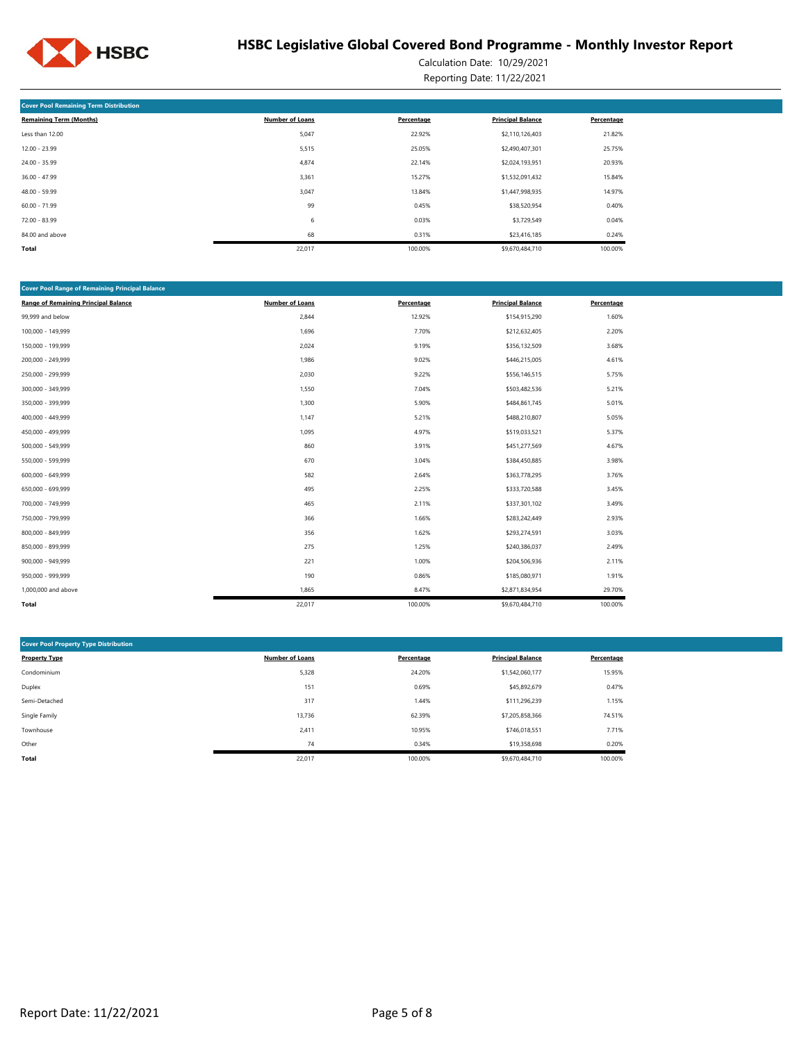

Calculation Date: 10/29/2021 Reporting Date: 11/22/2021

| <b>Cover Pool Remaining Term Distribution</b> |                        |            |                          |            |  |  |  |  |  |
|-----------------------------------------------|------------------------|------------|--------------------------|------------|--|--|--|--|--|
| <b>Remaining Term (Months)</b>                | <b>Number of Loans</b> | Percentage | <b>Principal Balance</b> | Percentage |  |  |  |  |  |
| Less than 12.00                               | 5,047                  | 22.92%     | \$2,110,126,403          | 21.82%     |  |  |  |  |  |
| $12.00 - 23.99$                               | 5,515                  | 25.05%     | \$2,490,407,301          | 25.75%     |  |  |  |  |  |
| 24.00 - 35.99                                 | 4,874                  | 22.14%     | \$2,024,193,951          | 20.93%     |  |  |  |  |  |
| $36.00 - 47.99$                               | 3,361                  | 15.27%     | \$1,532,091,432          | 15.84%     |  |  |  |  |  |
| 48.00 - 59.99                                 | 3,047                  | 13.84%     | \$1,447,998,935          | 14.97%     |  |  |  |  |  |
| $60.00 - 71.99$                               | 99                     | 0.45%      | \$38,520,954             | 0.40%      |  |  |  |  |  |
| $72.00 - 83.99$                               | 6                      | 0.03%      | \$3,729,549              | 0.04%      |  |  |  |  |  |
| 84.00 and above                               | 68                     | 0.31%      | \$23,416,185             | 0.24%      |  |  |  |  |  |
| Total                                         | 22,017                 | 100.00%    | \$9,670,484,710          | 100.00%    |  |  |  |  |  |

| <b>Cover Pool Range of Remaining Principal Balance</b> |                        |            |                          |            |
|--------------------------------------------------------|------------------------|------------|--------------------------|------------|
| <b>Range of Remaining Principal Balance</b>            | <b>Number of Loans</b> | Percentage | <b>Principal Balance</b> | Percentage |
| 99,999 and below                                       | 2,844                  | 12.92%     | \$154,915,290            | 1.60%      |
| 100,000 - 149,999                                      | 1,696                  | 7.70%      | \$212,632,405            | 2.20%      |
| 150,000 - 199,999                                      | 2,024                  | 9.19%      | \$356,132,509            | 3.68%      |
| 200,000 - 249,999                                      | 1,986                  | 9.02%      | \$446,215,005            | 4.61%      |
| 250,000 - 299,999                                      | 2,030                  | 9.22%      | \$556,146,515            | 5.75%      |
| 300,000 - 349,999                                      | 1,550                  | 7.04%      | \$503,482,536            | 5.21%      |
| 350,000 - 399,999                                      | 1,300                  | 5.90%      | \$484,861,745            | 5.01%      |
| 400,000 - 449,999                                      | 1,147                  | 5.21%      | \$488,210,807            | 5.05%      |
| 450,000 - 499,999                                      | 1,095                  | 4.97%      | \$519,033,521            | 5.37%      |
| 500,000 - 549,999                                      | 860                    | 3.91%      | \$451,277,569            | 4.67%      |
| 550,000 - 599,999                                      | 670                    | 3.04%      | \$384,450,885            | 3.98%      |
| 600,000 - 649,999                                      | 582                    | 2.64%      | \$363,778,295            | 3.76%      |
| 650,000 - 699,999                                      | 495                    | 2.25%      | \$333,720,588            | 3.45%      |
| 700,000 - 749,999                                      | 465                    | 2.11%      | \$337,301,102            | 3.49%      |
| 750,000 - 799,999                                      | 366                    | 1.66%      | \$283,242,449            | 2.93%      |
| 800,000 - 849,999                                      | 356                    | 1.62%      | \$293,274,591            | 3.03%      |
| 850,000 - 899,999                                      | 275                    | 1.25%      | \$240,386,037            | 2.49%      |
| 900,000 - 949,999                                      | 221                    | 1.00%      | \$204,506,936            | 2.11%      |
| 950,000 - 999,999                                      | 190                    | 0.86%      | \$185,080,971            | 1.91%      |
| 1,000,000 and above                                    | 1,865                  | 8.47%      | \$2,871,834,954          | 29.70%     |
| Total                                                  | 22,017                 | 100.00%    | \$9,670,484,710          | 100.00%    |

| <b>Cover Pool Property Type Distribution</b> |                        |            |                          |            |  |  |  |  |  |  |
|----------------------------------------------|------------------------|------------|--------------------------|------------|--|--|--|--|--|--|
| <b>Property Type</b>                         | <b>Number of Loans</b> | Percentage | <b>Principal Balance</b> | Percentage |  |  |  |  |  |  |
| Condominium                                  | 5,328                  | 24.20%     | \$1,542,060,177          | 15.95%     |  |  |  |  |  |  |
| Duplex                                       | 151                    | 0.69%      | \$45,892,679             | 0.47%      |  |  |  |  |  |  |
| Semi-Detached                                | 317                    | 1.44%      | \$111,296,239            | 1.15%      |  |  |  |  |  |  |
| Single Family                                | 13,736                 | 62.39%     | \$7,205,858,366          | 74.51%     |  |  |  |  |  |  |
| Townhouse                                    | 2,411                  | 10.95%     | \$746,018,551            | 7.71%      |  |  |  |  |  |  |
| Other                                        | 74                     | 0.34%      | \$19,358,698             | 0.20%      |  |  |  |  |  |  |
| Total                                        | 22,017                 | 100.00%    | \$9,670,484.710          | 100.00%    |  |  |  |  |  |  |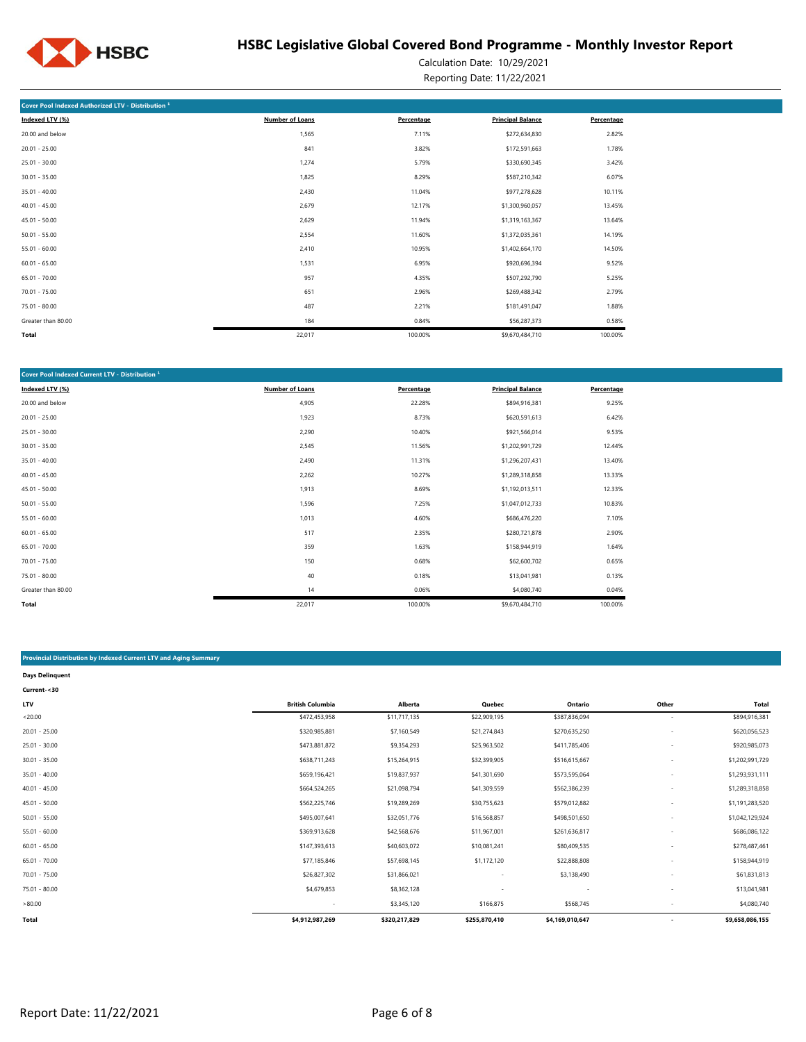

Calculation Date: 10/29/2021 Reporting Date: 11/22/2021

| Cover Pool Indexed Authorized LTV - Distribution <sup>1</sup> |                        |            |                          |            |
|---------------------------------------------------------------|------------------------|------------|--------------------------|------------|
| Indexed LTV (%)                                               | <b>Number of Loans</b> | Percentage | <b>Principal Balance</b> | Percentage |
| 20.00 and below                                               | 1,565                  | 7.11%      | \$272,634,830            | 2.82%      |
| $20.01 - 25.00$                                               | 841                    | 3.82%      | \$172,591,663            | 1.78%      |
| $25.01 - 30.00$                                               | 1,274                  | 5.79%      | \$330,690,345            | 3.42%      |
| $30.01 - 35.00$                                               | 1,825                  | 8.29%      | \$587,210,342            | 6.07%      |
| $35.01 - 40.00$                                               | 2,430                  | 11.04%     | \$977,278,628            | 10.11%     |
| $40.01 - 45.00$                                               | 2,679                  | 12.17%     | \$1,300,960,057          | 13.45%     |
| $45.01 - 50.00$                                               | 2,629                  | 11.94%     | \$1,319,163,367          | 13.64%     |
| $50.01 - 55.00$                                               | 2,554                  | 11.60%     | \$1,372,035,361          | 14.19%     |
| $55.01 - 60.00$                                               | 2,410                  | 10.95%     | \$1,402,664,170          | 14.50%     |
| $60.01 - 65.00$                                               | 1,531                  | 6.95%      | \$920,696,394            | 9.52%      |
| $65.01 - 70.00$                                               | 957                    | 4.35%      | \$507,292,790            | 5.25%      |
| $70.01 - 75.00$                                               | 651                    | 2.96%      | \$269,488,342            | 2.79%      |
| 75.01 - 80.00                                                 | 487                    | 2.21%      | \$181,491,047            | 1.88%      |
| Greater than 80.00                                            | 184                    | 0.84%      | \$56,287,373             | 0.58%      |
| Total                                                         | 22,017                 | 100.00%    | \$9,670,484,710          | 100.00%    |

| Cover Pool Indexed Current LTV - Distribution <sup>1</sup> |                 |            |                          |            |
|------------------------------------------------------------|-----------------|------------|--------------------------|------------|
| Indexed LTV (%)                                            | Number of Loans | Percentage | <b>Principal Balance</b> | Percentage |
| 20.00 and below                                            | 4,905           | 22.28%     | \$894,916,381            | 9.25%      |
| $20.01 - 25.00$                                            | 1,923           | 8.73%      | \$620,591,613            | 6.42%      |
| $25.01 - 30.00$                                            | 2,290           | 10.40%     | \$921,566,014            | 9.53%      |
| $30.01 - 35.00$                                            | 2,545           | 11.56%     | \$1,202,991,729          | 12.44%     |
| $35.01 - 40.00$                                            | 2,490           | 11.31%     | \$1,296,207,431          | 13.40%     |
| $40.01 - 45.00$                                            | 2,262           | 10.27%     | \$1,289,318,858          | 13.33%     |
| $45.01 - 50.00$                                            | 1,913           | 8.69%      | \$1,192,013,511          | 12.33%     |
| $50.01 - 55.00$                                            | 1,596           | 7.25%      | \$1,047,012,733          | 10.83%     |
| $55.01 - 60.00$                                            | 1,013           | 4.60%      | \$686,476,220            | 7.10%      |
| $60.01 - 65.00$                                            | 517             | 2.35%      | \$280,721,878            | 2.90%      |
| $65.01 - 70.00$                                            | 359             | 1.63%      | \$158,944,919            | 1.64%      |
| $70.01 - 75.00$                                            | 150             | 0.68%      | \$62,600,702             | 0.65%      |
| 75.01 - 80.00                                              | 40              | 0.18%      | \$13,041,981             | 0.13%      |
| Greater than 80.00                                         | 14              | 0.06%      | \$4,080,740              | 0.04%      |
| Total                                                      | 22,017          | 100.00%    | \$9,670,484,710          | 100.00%    |

### **Provincial Distribution by Indexed Current LTV and Aging Summary**

| <b>Days Delinquent</b> |                         |               |               |                          |                          |                 |
|------------------------|-------------------------|---------------|---------------|--------------------------|--------------------------|-----------------|
| Current-<30            |                         |               |               |                          |                          |                 |
| <b>LTV</b>             | <b>British Columbia</b> | Alberta       | Quebec        | Ontario                  | Other                    | Total           |
| < 20.00                | \$472,453,958           | \$11,717,135  | \$22,909,195  | \$387,836,094            | $\overline{\phantom{a}}$ | \$894,916,381   |
| $20.01 - 25.00$        | \$320,985,881           | \$7,160,549   | \$21,274,843  | \$270,635,250            | $\overline{\phantom{a}}$ | \$620,056,523   |
| $25.01 - 30.00$        | \$473,881,872           | \$9,354,293   | \$25,963,502  | \$411,785,406            | $\sim$                   | \$920,985,073   |
| $30.01 - 35.00$        | \$638,711,243           | \$15,264,915  | \$32,399,905  | \$516,615,667            | $\overline{\phantom{a}}$ | \$1,202,991,729 |
| $35.01 - 40.00$        | \$659,196,421           | \$19,837,937  | \$41,301,690  | \$573,595,064            |                          | \$1,293,931,111 |
| $40.01 - 45.00$        | \$664,524,265           | \$21,098,794  | \$41,309,559  | \$562,386,239            | $\overline{\phantom{a}}$ | \$1,289,318,858 |
| $45.01 - 50.00$        | \$562,225,746           | \$19,289,269  | \$30,755,623  | \$579,012,882            |                          | \$1,191,283,520 |
| $50.01 - 55.00$        | \$495,007,641           | \$32,051,776  | \$16,568,857  | \$498,501,650            |                          | \$1,042,129,924 |
| $55.01 - 60.00$        | \$369,913,628           | \$42,568,676  | \$11,967,001  | \$261,636,817            | $\overline{\phantom{a}}$ | \$686,086,122   |
| $60.01 - 65.00$        | \$147,393,613           | \$40,603,072  | \$10,081,241  | \$80,409,535             |                          | \$278,487,461   |
| $65.01 - 70.00$        | \$77,185,846            | \$57,698,145  | \$1,172,120   | \$22,888,808             |                          | \$158,944,919   |
| $70.01 - 75.00$        | \$26,827,302            | \$31,866,021  | ٠             | \$3,138,490              | $\overline{\phantom{a}}$ | \$61,831,813    |
| 75.01 - 80.00          | \$4,679,853             | \$8,362,128   | ٠             | $\overline{\phantom{a}}$ | $\overline{\phantom{a}}$ | \$13,041,981    |
| >80.00                 |                         | \$3,345,120   | \$166,875     | \$568,745                |                          | \$4,080,740     |
| Total                  | \$4,912,987,269         | \$320,217,829 | \$255,870,410 | \$4,169,010,647          |                          | \$9,658,086,155 |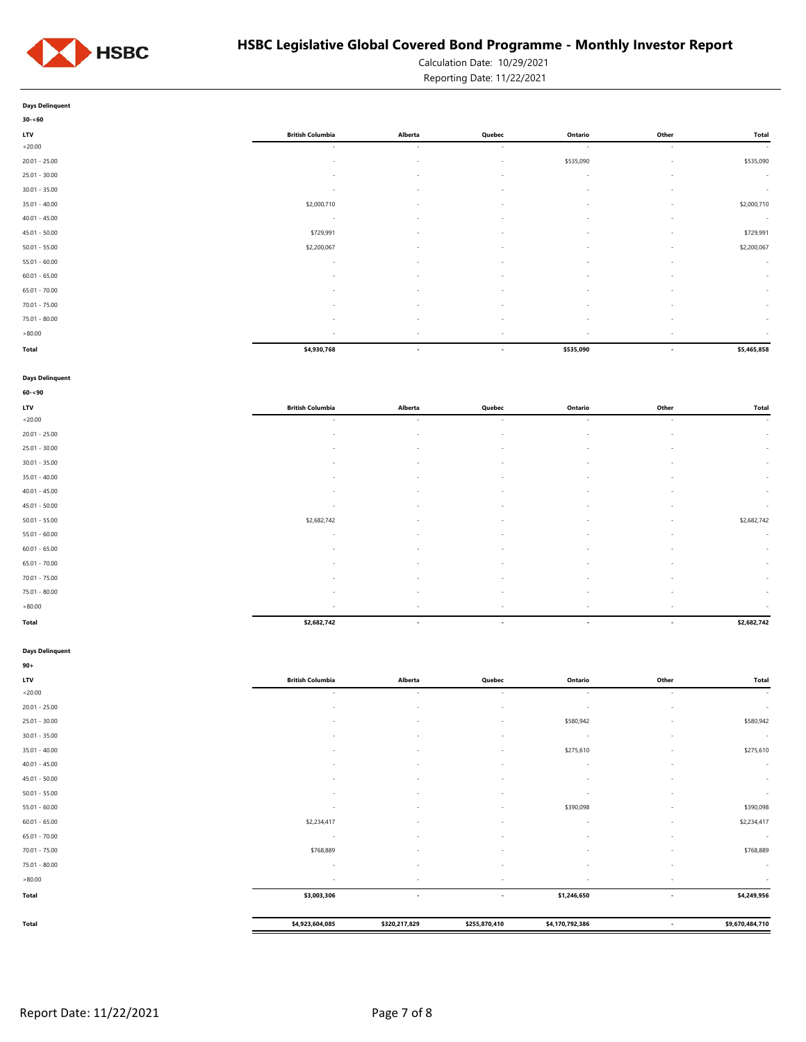

Calculation Date: 10/29/2021 Reporting Date: 11/22/2021

**Days Delinquent**

| $30 - 60$       |                          |                          |                          |           |                          |             |
|-----------------|--------------------------|--------------------------|--------------------------|-----------|--------------------------|-------------|
| LTV             | <b>British Columbia</b>  | Alberta                  | Quebec                   | Ontario   | Other                    | Total       |
| <20.00          | $\sim$                   | $\sim$                   | $\sim$                   | $\sim$    | $\sim$                   | $\sim$      |
| $20.01 - 25.00$ | $\sim$                   | $\overline{\phantom{a}}$ | $\sim$                   | \$535,090 | $\overline{\phantom{a}}$ | \$535,090   |
| $25.01 - 30.00$ | $\sim$                   | $\sim$                   | $\sim$                   | $\sim$    | $\overline{\phantom{a}}$ | $\sim$      |
| $30.01 - 35.00$ | $\overline{\phantom{a}}$ | $\overline{\phantom{a}}$ | $\sim$                   | $\sim$    | $\overline{\phantom{a}}$ | $\sim$      |
| $35.01 - 40.00$ | \$2,000,710              | $\overline{\phantom{a}}$ | $\sim$                   | ٠         | $\sim$                   | \$2,000,710 |
| $40.01 - 45.00$ | $\overline{a}$           | $\overline{\phantom{a}}$ | $\sim$                   | $\sim$    | $\overline{\phantom{a}}$ | $\sim$      |
| $45.01 - 50.00$ | \$729,991                | ٠                        | $\sim$                   | $\sim$    | $\overline{\phantom{a}}$ | \$729,991   |
| $50.01 - 55.00$ | \$2,200,067              | $\overline{\phantom{a}}$ | $\sim$                   | $\sim$    | $\sim$                   | \$2,200,067 |
| $55.01 - 60.00$ | $\sim$                   | $\overline{\phantom{a}}$ | $\sim$                   | ٠         | $\sim$                   | $\sim$      |
| $60.01 - 65.00$ | $\overline{\phantom{a}}$ | $\overline{\phantom{a}}$ | $\sim$                   | $\sim$    | $\overline{\phantom{a}}$ | $\sim$      |
| $65.01 - 70.00$ | $\sim$                   | $\overline{\phantom{a}}$ | $\sim$                   | $\sim$    | $\overline{\phantom{a}}$ | $\sim$      |
| $70.01 - 75.00$ |                          | ٠                        | ٠                        | ٠         | ٠                        | $\sim$      |
| $75.01 - 80.00$ | $\sim$                   | $\sim$                   | $\sim$                   | $\sim$    | $\overline{\phantom{a}}$ | $\sim$      |
| >80.00          | $\sim$                   | $\overline{\phantom{a}}$ | $\overline{\phantom{a}}$ | $\sim$    | $\overline{\phantom{a}}$ | $\sim$      |
| Total           | \$4,930,768              | $\overline{\phantom{a}}$ | $\overline{\phantom{a}}$ | \$535,090 | $\overline{\phantom{a}}$ | \$5,465,858 |

### **Days Delinquent**

| $60 - 90$       |                          |                          |                          |         |                          |              |
|-----------------|--------------------------|--------------------------|--------------------------|---------|--------------------------|--------------|
| LTV             | <b>British Columbia</b>  | Alberta                  | Quebec                   | Ontario | Other                    | <b>Total</b> |
| < 20.00         | $\sim$                   | $\sim$                   | $\sim$                   | $\sim$  | $\sim$                   | $\sim$       |
| $20.01 - 25.00$ | $\overline{\phantom{a}}$ | $\sim$                   | $\sim$                   | $\sim$  | $\overline{\phantom{a}}$ | $\sim$       |
| $25.01 - 30.00$ | $\sim$                   | $\sim$                   | $\sim$                   | $\sim$  | $\sim$                   | $\sim$       |
| $30.01 - 35.00$ | $\overline{\phantom{a}}$ |                          | $\sim$                   | ٠       | ٠                        | $\sim$       |
| $35.01 - 40.00$ | $\overline{\phantom{a}}$ | $\sim$                   | $\sim$                   | $\sim$  | $\overline{\phantom{a}}$ | $\sim$       |
| $40.01 - 45.00$ | $\sim$                   | $\sim$                   | $\sim$                   | $\sim$  | $\sim$                   | $\sim$       |
| $45.01 - 50.00$ | $\overline{\phantom{a}}$ | $\sim$                   | $\sim$                   | $\sim$  | $\overline{\phantom{a}}$ | $\sim$       |
| $50.01 - 55.00$ | \$2,682,742              | $\sim$                   | $\sim$                   | $\sim$  | $\overline{\phantom{a}}$ | \$2,682,742  |
| $55.01 - 60.00$ | $\sim$                   | $\sim$                   | $\sim$                   | $\sim$  | $\overline{\phantom{a}}$ | $\sim$       |
| $60.01 - 65.00$ | $\overline{\phantom{a}}$ |                          | $\overline{\phantom{a}}$ |         | $\overline{\phantom{a}}$ | $\sim$       |
| $65.01 - 70.00$ | $\sim$                   | $\sim$                   | $\sim$                   | $\sim$  | $\sim$                   | $\sim$       |
| $70.01 - 75.00$ | $\sim$                   | $\overline{a}$           | $\sim$                   | $\sim$  | $\overline{\phantom{a}}$ | $\sim$       |
| 75.01 - 80.00   | $\overline{\phantom{a}}$ | $\sim$                   | $\sim$                   | $\sim$  | $\overline{\phantom{a}}$ | $\sim$       |
| >80.00          | $\sim$                   | $\sim$                   | $\sim$                   | $\sim$  | $\sim$                   | $\sim$       |
| Total           | \$2,682,742              | $\overline{\phantom{a}}$ | $\overline{\phantom{a}}$ | $\sim$  | $\overline{\phantom{a}}$ | \$2,682,742  |

### **Days Delinquent**

| <b>British Columbia</b><br>$\sim$<br>٠<br>۰<br>$\overline{\phantom{a}}$ | Alberta<br>$\sim$<br><b>.</b><br>$\overline{\phantom{a}}$<br>$\overline{\phantom{a}}$ | Quebec<br>$\sim$<br>$\overline{\phantom{a}}$<br>$\overline{\phantom{a}}$<br>$\overline{\phantom{a}}$ | Ontario<br>$\sim$<br>$\sim$<br>\$580,942<br>$\sim$ | Other<br>$\sim$<br>$\overline{\phantom{a}}$<br>$\sim$ | Total<br>$\sim$<br>$\sim$<br>\$580,942 |
|-------------------------------------------------------------------------|---------------------------------------------------------------------------------------|------------------------------------------------------------------------------------------------------|----------------------------------------------------|-------------------------------------------------------|----------------------------------------|
|                                                                         |                                                                                       |                                                                                                      |                                                    |                                                       |                                        |
|                                                                         |                                                                                       |                                                                                                      |                                                    |                                                       |                                        |
|                                                                         |                                                                                       |                                                                                                      |                                                    |                                                       |                                        |
|                                                                         |                                                                                       |                                                                                                      |                                                    |                                                       |                                        |
|                                                                         |                                                                                       |                                                                                                      |                                                    |                                                       | $\sim$                                 |
|                                                                         |                                                                                       | $\overline{\phantom{a}}$                                                                             | \$275,610                                          | $\overline{\phantom{a}}$                              | \$275,610                              |
|                                                                         |                                                                                       | $\overline{\phantom{a}}$                                                                             | $\sim$                                             |                                                       | $\sim$                                 |
| ۰                                                                       | $\overline{\phantom{a}}$                                                              | $\overline{\phantom{a}}$                                                                             | ۰.                                                 |                                                       | $\sim$                                 |
| $\sim$                                                                  | $\overline{\phantom{a}}$                                                              | $\overline{\phantom{a}}$                                                                             | ×.                                                 | $\sim$                                                | $\sim$                                 |
| $\sim$                                                                  | $\sim$                                                                                | $\overline{\phantom{a}}$                                                                             | \$390,098                                          | $\sim$                                                | \$390,098                              |
| \$2,234,417                                                             |                                                                                       | $\overline{\phantom{a}}$                                                                             | $\sim$                                             |                                                       | \$2,234,417                            |
| $\sim$                                                                  | $\overline{\phantom{a}}$                                                              | $\overline{\phantom{a}}$                                                                             | $\overline{\phantom{a}}$                           | $\overline{\phantom{a}}$                              | $\sim$                                 |
| \$768,889                                                               | $\overline{\phantom{a}}$                                                              | $\overline{\phantom{a}}$                                                                             | $\sim$                                             | $\sim$                                                | \$768,889                              |
| $\sim$                                                                  | $\overline{\phantom{a}}$                                                              | $\overline{\phantom{a}}$                                                                             | $\sim$                                             | $\sim$                                                | $\sim$                                 |
| $\sim$                                                                  | $\overline{\phantom{a}}$                                                              | $\overline{\phantom{a}}$                                                                             | $\overline{\phantom{a}}$                           | $\sim$                                                | $\sim$                                 |
| \$3,003,306                                                             | $\overline{\phantom{a}}$                                                              | $\overline{\phantom{a}}$                                                                             | \$1,246,650                                        | $\overline{\phantom{a}}$                              | \$4,249,956                            |
|                                                                         |                                                                                       |                                                                                                      |                                                    |                                                       | \$9,670,484,710                        |
|                                                                         | \$4,923,604,085                                                                       | \$320,217,829                                                                                        | \$255,870,410                                      | \$4,170,792,386                                       | $\overline{\phantom{a}}$               |